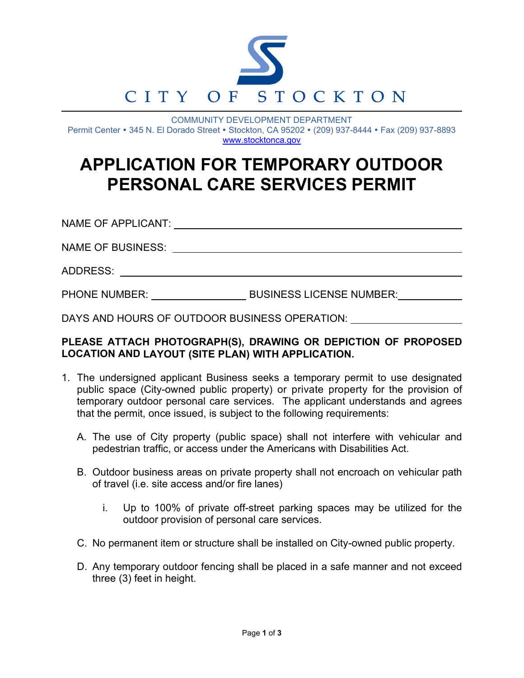

COMMUNITY DEVELOPMENT DEPARTMENT Permit Center • 345 N. El Dorado Street • Stockton, CA 95202 • (209) 937-8444 • Fax (209) 937-8893 www.stocktonca.gov

## **APPLICATION FOR TEMPORARY OUTDOOR PERSONAL CARE SERVICES PERMIT**

NAME OF APPLICANT:

NAME OF BUSINESS:

ADDRESS:

PHONE NUMBER: BUSINESS LICENSE NUMBER:

DAYS AND HOURS OF OUTDOOR BUSINESS OPERATION:

## **PLEASE ATTACH PHOTOGRAPH(S), DRAWING OR DEPICTION OF PROPOSED LOCATION AND LAYOUT (SITE PLAN) WITH APPLICATION.**

- 1. The undersigned applicant Business seeks a temporary permit to use designated public space (City-owned public property) or private property for the provision of temporary outdoor personal care services. The applicant understands and agrees that the permit, once issued, is subject to the following requirements:
	- A. The use of City property (public space) shall not interfere with vehicular and pedestrian traffic, or access under the Americans with Disabilities Act.
	- B. Outdoor business areas on private property shall not encroach on vehicular path of travel (i.e. site access and/or fire lanes)
		- i. Up to 100% of private off-street parking spaces may be utilized for the outdoor provision of personal care services.
	- C. No permanent item or structure shall be installed on City-owned public property.
	- D. Any temporary outdoor fencing shall be placed in a safe manner and not exceed three (3) feet in height.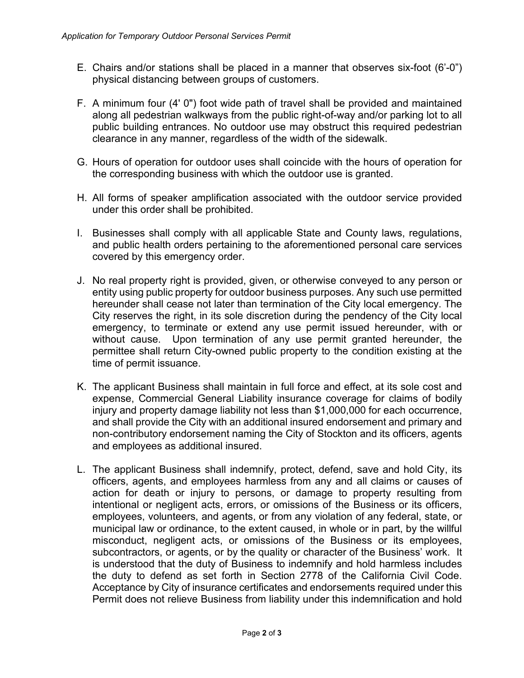- E. Chairs and/or stations shall be placed in a manner that observes six-foot (6'-0") physical distancing between groups of customers.
- F. A minimum four (4' 0") foot wide path of travel shall be provided and maintained along all pedestrian walkways from the public right-of-way and/or parking lot to all public building entrances. No outdoor use may obstruct this required pedestrian clearance in any manner, regardless of the width of the sidewalk.
- G. Hours of operation for outdoor uses shall coincide with the hours of operation for the corresponding business with which the outdoor use is granted.
- H. All forms of speaker amplification associated with the outdoor service provided under this order shall be prohibited.
- I. Businesses shall comply with all applicable State and County laws, regulations, and public health orders pertaining to the aforementioned personal care services covered by this emergency order.
- J. No real property right is provided, given, or otherwise conveyed to any person or entity using public property for outdoor business purposes. Any such use permitted hereunder shall cease not later than termination of the City local emergency. The City reserves the right, in its sole discretion during the pendency of the City local emergency, to terminate or extend any use permit issued hereunder, with or without cause. Upon termination of any use permit granted hereunder, the permittee shall return City-owned public property to the condition existing at the time of permit issuance.
- K. The applicant Business shall maintain in full force and effect, at its sole cost and expense, Commercial General Liability insurance coverage for claims of bodily injury and property damage liability not less than \$1,000,000 for each occurrence, and shall provide the City with an additional insured endorsement and primary and non-contributory endorsement naming the City of Stockton and its officers, agents and employees as additional insured.
- L. The applicant Business shall indemnify, protect, defend, save and hold City, its officers, agents, and employees harmless from any and all claims or causes of action for death or injury to persons, or damage to property resulting from intentional or negligent acts, errors, or omissions of the Business or its officers, employees, volunteers, and agents, or from any violation of any federal, state, or municipal law or ordinance, to the extent caused, in whole or in part, by the willful misconduct, negligent acts, or omissions of the Business or its employees, subcontractors, or agents, or by the quality or character of the Business' work. It is understood that the duty of Business to indemnify and hold harmless includes the duty to defend as set forth in Section 2778 of the California Civil Code. Acceptance by City of insurance certificates and endorsements required under this Permit does not relieve Business from liability under this indemnification and hold